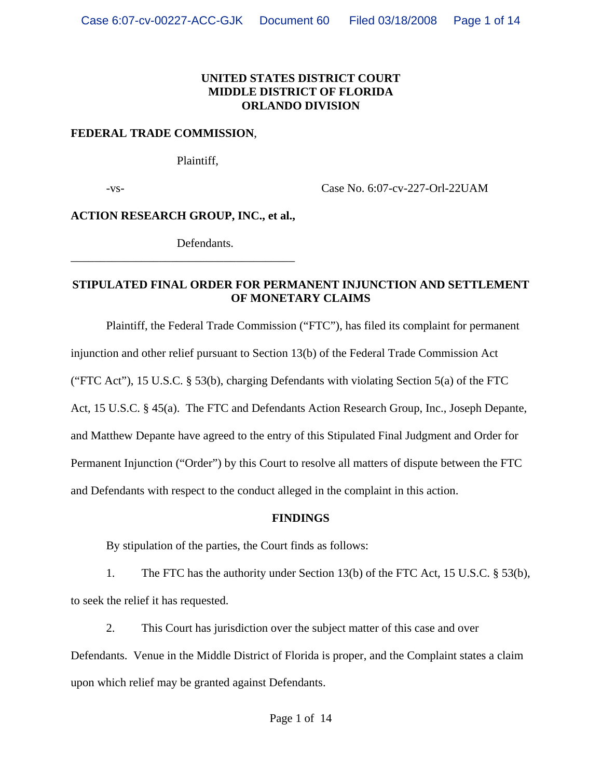## **UNITED STATES DISTRICT COURT MIDDLE DISTRICT OF FLORIDA ORLANDO DIVISION**

## **FEDERAL TRADE COMMISSION**,

Plaintiff,

-vs- Case No. 6:07-cv-227-Orl-22UAM

**ACTION RESEARCH GROUP, INC., et al.,**

\_\_\_\_\_\_\_\_\_\_\_\_\_\_\_\_\_\_\_\_\_\_\_\_\_\_\_\_\_\_\_\_\_\_\_\_\_\_

Defendants.

## **STIPULATED FINAL ORDER FOR PERMANENT INJUNCTION AND SETTLEMENT OF MONETARY CLAIMS**

Plaintiff, the Federal Trade Commission ("FTC"), has filed its complaint for permanent injunction and other relief pursuant to Section 13(b) of the Federal Trade Commission Act ("FTC Act"), 15 U.S.C. § 53(b), charging Defendants with violating Section 5(a) of the FTC Act, 15 U.S.C. § 45(a). The FTC and Defendants Action Research Group, Inc., Joseph Depante, and Matthew Depante have agreed to the entry of this Stipulated Final Judgment and Order for Permanent Injunction ("Order") by this Court to resolve all matters of dispute between the FTC and Defendants with respect to the conduct alleged in the complaint in this action.

## **FINDINGS**

By stipulation of the parties, the Court finds as follows:

1. The FTC has the authority under Section 13(b) of the FTC Act, 15 U.S.C. § 53(b), to seek the relief it has requested.

2. This Court has jurisdiction over the subject matter of this case and over Defendants. Venue in the Middle District of Florida is proper, and the Complaint states a claim upon which relief may be granted against Defendants.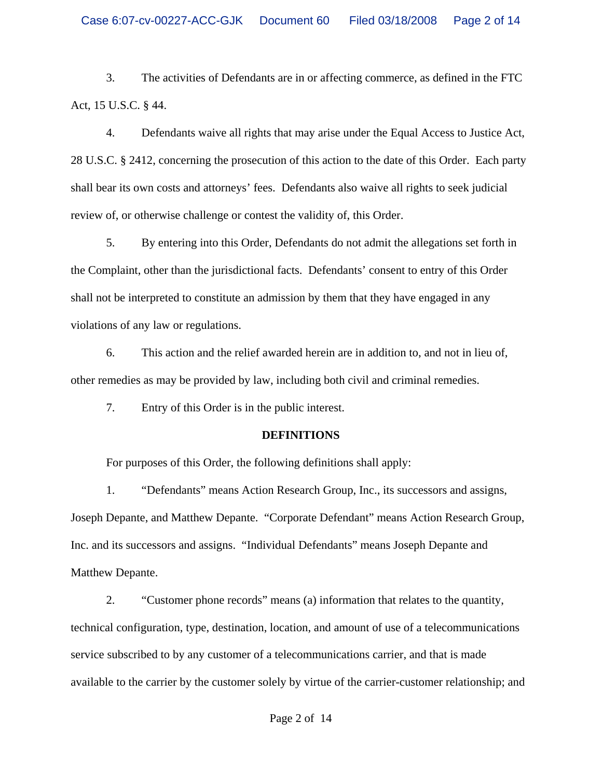3. The activities of Defendants are in or affecting commerce, as defined in the FTC Act, 15 U.S.C. § 44.

4. Defendants waive all rights that may arise under the Equal Access to Justice Act, 28 U.S.C. § 2412, concerning the prosecution of this action to the date of this Order. Each party shall bear its own costs and attorneys' fees. Defendants also waive all rights to seek judicial review of, or otherwise challenge or contest the validity of, this Order.

5. By entering into this Order, Defendants do not admit the allegations set forth in the Complaint, other than the jurisdictional facts. Defendants' consent to entry of this Order shall not be interpreted to constitute an admission by them that they have engaged in any violations of any law or regulations.

6. This action and the relief awarded herein are in addition to, and not in lieu of, other remedies as may be provided by law, including both civil and criminal remedies.

7. Entry of this Order is in the public interest.

## **DEFINITIONS**

For purposes of this Order, the following definitions shall apply:

1. "Defendants" means Action Research Group, Inc., its successors and assigns, Joseph Depante, and Matthew Depante. "Corporate Defendant" means Action Research Group, Inc. and its successors and assigns. "Individual Defendants" means Joseph Depante and Matthew Depante.

2. "Customer phone records" means (a) information that relates to the quantity, technical configuration, type, destination, location, and amount of use of a telecommunications service subscribed to by any customer of a telecommunications carrier, and that is made available to the carrier by the customer solely by virtue of the carrier-customer relationship; and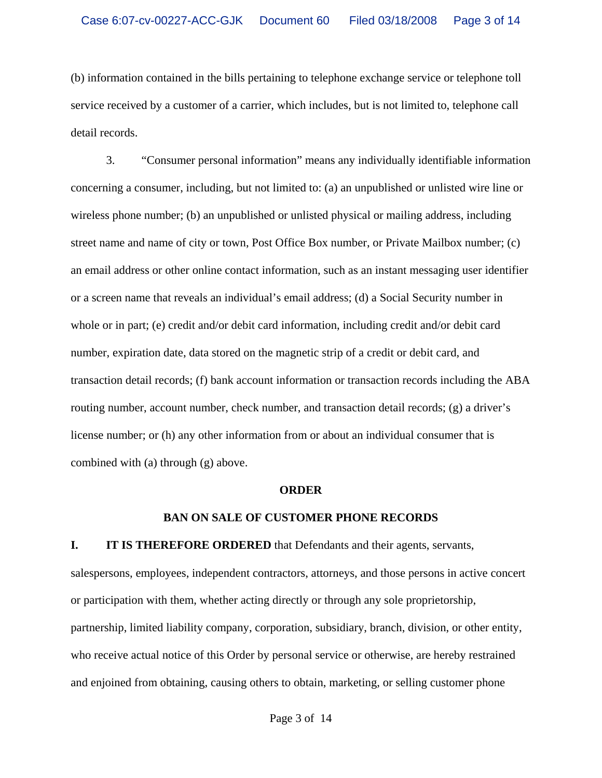(b) information contained in the bills pertaining to telephone exchange service or telephone toll service received by a customer of a carrier, which includes, but is not limited to, telephone call detail records.

3. "Consumer personal information" means any individually identifiable information concerning a consumer, including, but not limited to: (a) an unpublished or unlisted wire line or wireless phone number; (b) an unpublished or unlisted physical or mailing address, including street name and name of city or town, Post Office Box number, or Private Mailbox number; (c) an email address or other online contact information, such as an instant messaging user identifier or a screen name that reveals an individual's email address; (d) a Social Security number in whole or in part; (e) credit and/or debit card information, including credit and/or debit card number, expiration date, data stored on the magnetic strip of a credit or debit card, and transaction detail records; (f) bank account information or transaction records including the ABA routing number, account number, check number, and transaction detail records; (g) a driver's license number; or (h) any other information from or about an individual consumer that is combined with (a) through (g) above.

#### **ORDER**

#### **BAN ON SALE OF CUSTOMER PHONE RECORDS**

**I. IT IS THEREFORE ORDERED** that Defendants and their agents, servants, salespersons, employees, independent contractors, attorneys, and those persons in active concert or participation with them, whether acting directly or through any sole proprietorship, partnership, limited liability company, corporation, subsidiary, branch, division, or other entity, who receive actual notice of this Order by personal service or otherwise, are hereby restrained and enjoined from obtaining, causing others to obtain, marketing, or selling customer phone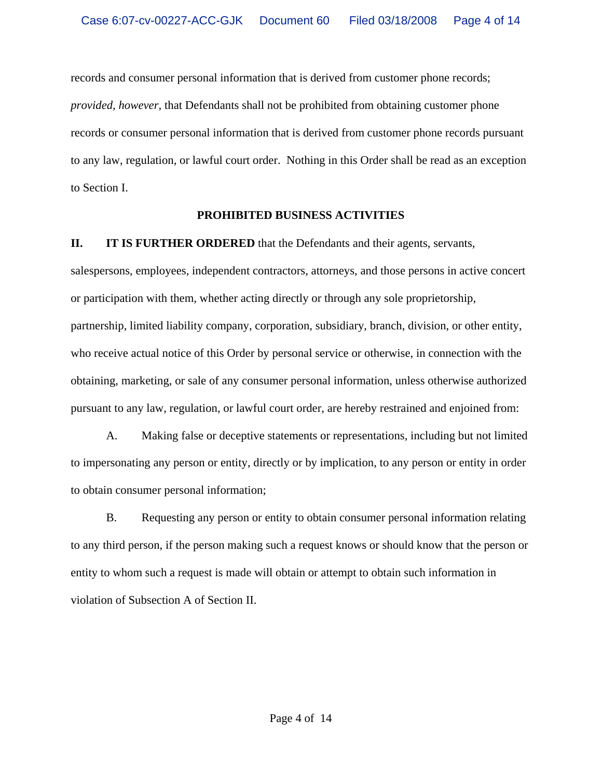records and consumer personal information that is derived from customer phone records; *provided, however,* that Defendants shall not be prohibited from obtaining customer phone records or consumer personal information that is derived from customer phone records pursuant to any law, regulation, or lawful court order. Nothing in this Order shall be read as an exception to Section I.

## **PROHIBITED BUSINESS ACTIVITIES**

**II. IT IS FURTHER ORDERED** that the Defendants and their agents, servants,

salespersons, employees, independent contractors, attorneys, and those persons in active concert or participation with them, whether acting directly or through any sole proprietorship, partnership, limited liability company, corporation, subsidiary, branch, division, or other entity, who receive actual notice of this Order by personal service or otherwise, in connection with the obtaining, marketing, or sale of any consumer personal information, unless otherwise authorized pursuant to any law, regulation, or lawful court order, are hereby restrained and enjoined from:

A. Making false or deceptive statements or representations, including but not limited to impersonating any person or entity, directly or by implication, to any person or entity in order to obtain consumer personal information;

B. Requesting any person or entity to obtain consumer personal information relating to any third person, if the person making such a request knows or should know that the person or entity to whom such a request is made will obtain or attempt to obtain such information in violation of Subsection A of Section II.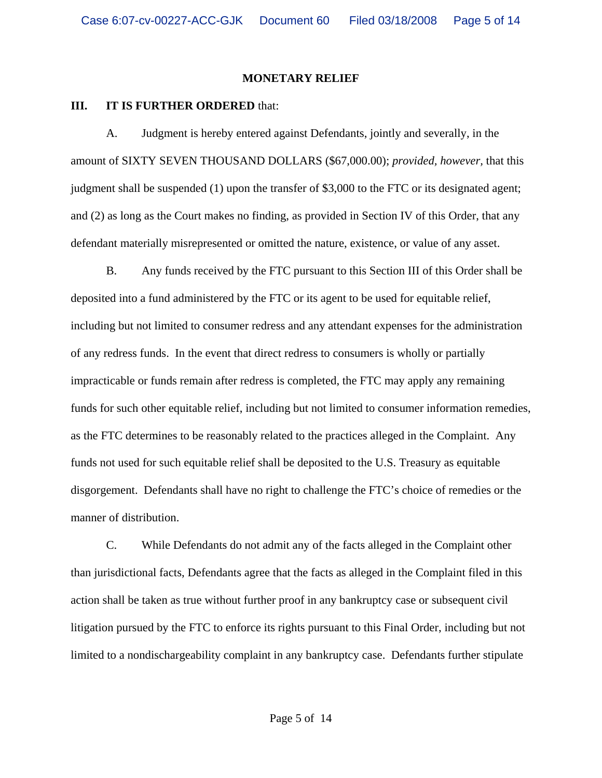#### **MONETARY RELIEF**

## **III. IT IS FURTHER ORDERED** that:

A. Judgment is hereby entered against Defendants, jointly and severally, in the amount of SIXTY SEVEN THOUSAND DOLLARS (\$67,000.00); *provided, however,* that this judgment shall be suspended (1) upon the transfer of \$3,000 to the FTC or its designated agent; and (2) as long as the Court makes no finding, as provided in Section IV of this Order, that any defendant materially misrepresented or omitted the nature, existence, or value of any asset.

B. Any funds received by the FTC pursuant to this Section III of this Order shall be deposited into a fund administered by the FTC or its agent to be used for equitable relief, including but not limited to consumer redress and any attendant expenses for the administration of any redress funds. In the event that direct redress to consumers is wholly or partially impracticable or funds remain after redress is completed, the FTC may apply any remaining funds for such other equitable relief, including but not limited to consumer information remedies, as the FTC determines to be reasonably related to the practices alleged in the Complaint. Any funds not used for such equitable relief shall be deposited to the U.S. Treasury as equitable disgorgement. Defendants shall have no right to challenge the FTC's choice of remedies or the manner of distribution.

C. While Defendants do not admit any of the facts alleged in the Complaint other than jurisdictional facts, Defendants agree that the facts as alleged in the Complaint filed in this action shall be taken as true without further proof in any bankruptcy case or subsequent civil litigation pursued by the FTC to enforce its rights pursuant to this Final Order, including but not limited to a nondischargeability complaint in any bankruptcy case. Defendants further stipulate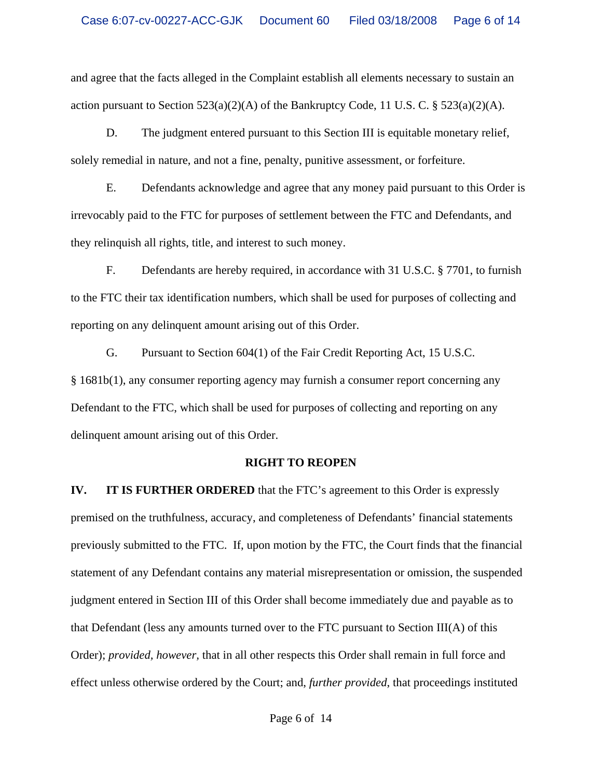and agree that the facts alleged in the Complaint establish all elements necessary to sustain an action pursuant to Section  $523(a)(2)(A)$  of the Bankruptcy Code, 11 U.S. C. §  $523(a)(2)(A)$ .

D. The judgment entered pursuant to this Section III is equitable monetary relief, solely remedial in nature, and not a fine, penalty, punitive assessment, or forfeiture.

E. Defendants acknowledge and agree that any money paid pursuant to this Order is irrevocably paid to the FTC for purposes of settlement between the FTC and Defendants, and they relinquish all rights, title, and interest to such money.

F. Defendants are hereby required, in accordance with 31 U.S.C. § 7701, to furnish to the FTC their tax identification numbers, which shall be used for purposes of collecting and reporting on any delinquent amount arising out of this Order.

G. Pursuant to Section 604(1) of the Fair Credit Reporting Act, 15 U.S.C. § 1681b(1), any consumer reporting agency may furnish a consumer report concerning any Defendant to the FTC, which shall be used for purposes of collecting and reporting on any delinquent amount arising out of this Order.

## **RIGHT TO REOPEN**

**IV. IT IS FURTHER ORDERED** that the FTC's agreement to this Order is expressly premised on the truthfulness, accuracy, and completeness of Defendants' financial statements previously submitted to the FTC. If, upon motion by the FTC, the Court finds that the financial statement of any Defendant contains any material misrepresentation or omission, the suspended judgment entered in Section III of this Order shall become immediately due and payable as to that Defendant (less any amounts turned over to the FTC pursuant to Section III(A) of this Order); *provided, however,* that in all other respects this Order shall remain in full force and effect unless otherwise ordered by the Court; and, *further provided*, that proceedings instituted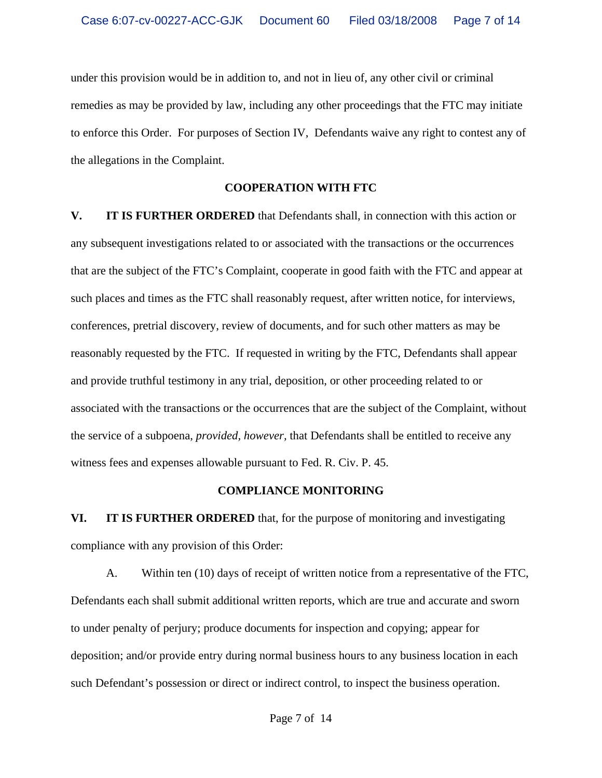under this provision would be in addition to, and not in lieu of, any other civil or criminal remedies as may be provided by law, including any other proceedings that the FTC may initiate to enforce this Order. For purposes of Section IV, Defendants waive any right to contest any of the allegations in the Complaint.

#### **COOPERATION WITH FTC**

**V. IT IS FURTHER ORDERED** that Defendants shall, in connection with this action or any subsequent investigations related to or associated with the transactions or the occurrences that are the subject of the FTC's Complaint, cooperate in good faith with the FTC and appear at such places and times as the FTC shall reasonably request, after written notice, for interviews, conferences, pretrial discovery, review of documents, and for such other matters as may be reasonably requested by the FTC. If requested in writing by the FTC, Defendants shall appear and provide truthful testimony in any trial, deposition, or other proceeding related to or associated with the transactions or the occurrences that are the subject of the Complaint, without the service of a subpoena, *provided, however,* that Defendants shall be entitled to receive any witness fees and expenses allowable pursuant to Fed. R. Civ. P. 45.

#### **COMPLIANCE MONITORING**

**VI. IT IS FURTHER ORDERED** that, for the purpose of monitoring and investigating compliance with any provision of this Order:

A. Within ten (10) days of receipt of written notice from a representative of the FTC, Defendants each shall submit additional written reports, which are true and accurate and sworn to under penalty of perjury; produce documents for inspection and copying; appear for deposition; and/or provide entry during normal business hours to any business location in each such Defendant's possession or direct or indirect control, to inspect the business operation.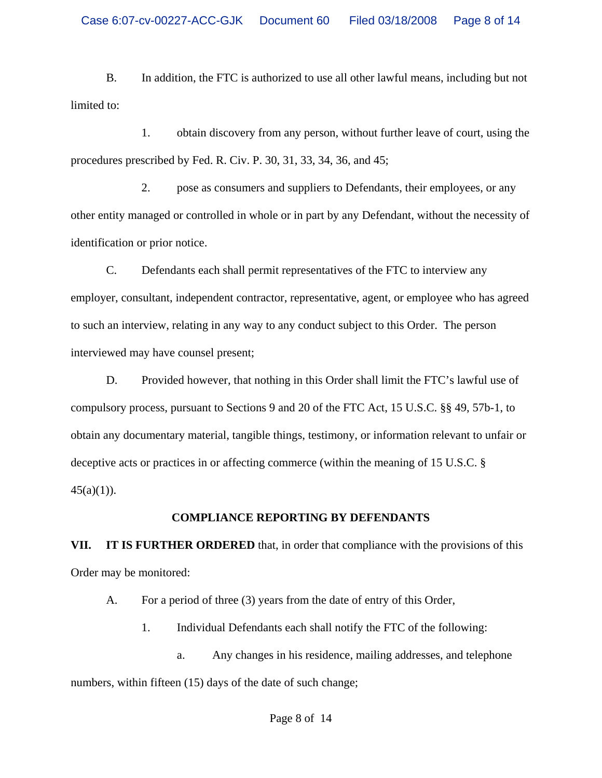B. In addition, the FTC is authorized to use all other lawful means, including but not limited to:

1. obtain discovery from any person, without further leave of court, using the procedures prescribed by Fed. R. Civ. P. 30, 31, 33, 34, 36, and 45;

2. pose as consumers and suppliers to Defendants, their employees, or any other entity managed or controlled in whole or in part by any Defendant, without the necessity of identification or prior notice.

C. Defendants each shall permit representatives of the FTC to interview any employer, consultant, independent contractor, representative, agent, or employee who has agreed to such an interview, relating in any way to any conduct subject to this Order. The person interviewed may have counsel present;

D. Provided however, that nothing in this Order shall limit the FTC's lawful use of compulsory process, pursuant to Sections 9 and 20 of the FTC Act, 15 U.S.C. §§ 49, 57b-1, to obtain any documentary material, tangible things, testimony, or information relevant to unfair or deceptive acts or practices in or affecting commerce (within the meaning of 15 U.S.C. §  $45(a)(1)$ ).

## **COMPLIANCE REPORTING BY DEFENDANTS**

**VII. IT IS FURTHER ORDERED** that, in order that compliance with the provisions of this Order may be monitored:

A. For a period of three (3) years from the date of entry of this Order,

1. Individual Defendants each shall notify the FTC of the following:

a. Any changes in his residence, mailing addresses, and telephone numbers, within fifteen (15) days of the date of such change;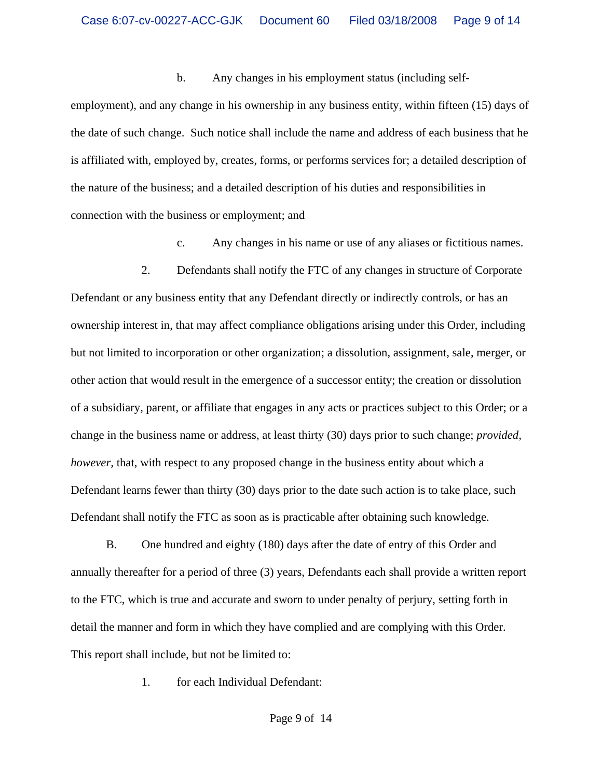#### b. Any changes in his employment status (including self-

employment), and any change in his ownership in any business entity, within fifteen (15) days of the date of such change. Such notice shall include the name and address of each business that he is affiliated with, employed by, creates, forms, or performs services for; a detailed description of the nature of the business; and a detailed description of his duties and responsibilities in connection with the business or employment; and

c. Any changes in his name or use of any aliases or fictitious names.

2. Defendants shall notify the FTC of any changes in structure of Corporate Defendant or any business entity that any Defendant directly or indirectly controls, or has an ownership interest in, that may affect compliance obligations arising under this Order, including but not limited to incorporation or other organization; a dissolution, assignment, sale, merger, or other action that would result in the emergence of a successor entity; the creation or dissolution of a subsidiary, parent, or affiliate that engages in any acts or practices subject to this Order; or a change in the business name or address, at least thirty (30) days prior to such change; *provided, however*, that, with respect to any proposed change in the business entity about which a Defendant learns fewer than thirty (30) days prior to the date such action is to take place, such Defendant shall notify the FTC as soon as is practicable after obtaining such knowledge.

B. One hundred and eighty (180) days after the date of entry of this Order and annually thereafter for a period of three (3) years, Defendants each shall provide a written report to the FTC, which is true and accurate and sworn to under penalty of perjury, setting forth in detail the manner and form in which they have complied and are complying with this Order. This report shall include, but not be limited to:

1. for each Individual Defendant: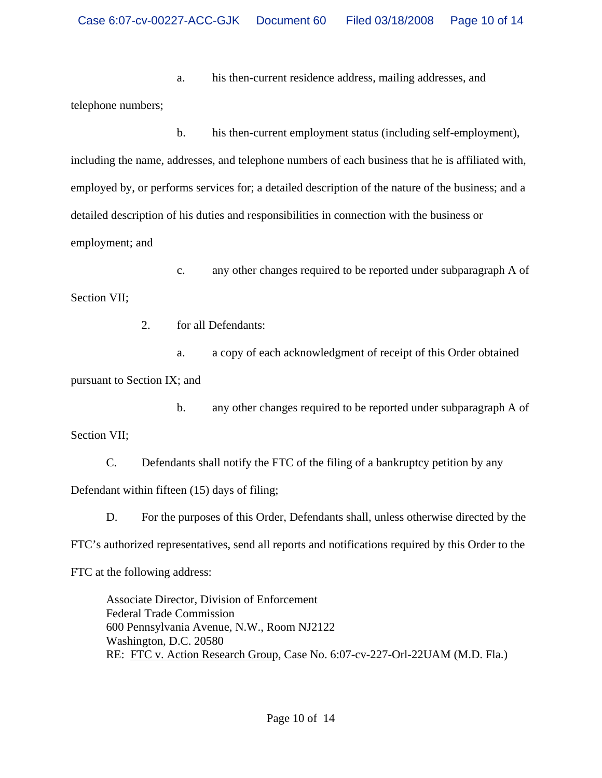a. his then-current residence address, mailing addresses, and telephone numbers;

b. his then-current employment status (including self-employment), including the name, addresses, and telephone numbers of each business that he is affiliated with, employed by, or performs services for; a detailed description of the nature of the business; and a detailed description of his duties and responsibilities in connection with the business or employment; and

c. any other changes required to be reported under subparagraph A of Section VII;

2. for all Defendants:

a. a copy of each acknowledgment of receipt of this Order obtained

pursuant to Section IX; and

b. any other changes required to be reported under subparagraph A of Section VII;

C. Defendants shall notify the FTC of the filing of a bankruptcy petition by any Defendant within fifteen (15) days of filing;

D. For the purposes of this Order, Defendants shall, unless otherwise directed by the FTC's authorized representatives, send all reports and notifications required by this Order to the

FTC at the following address:

Associate Director, Division of Enforcement Federal Trade Commission 600 Pennsylvania Avenue, N.W., Room NJ2122 Washington, D.C. 20580 RE: FTC v. Action Research Group, Case No. 6:07-cv-227-Orl-22UAM (M.D. Fla.)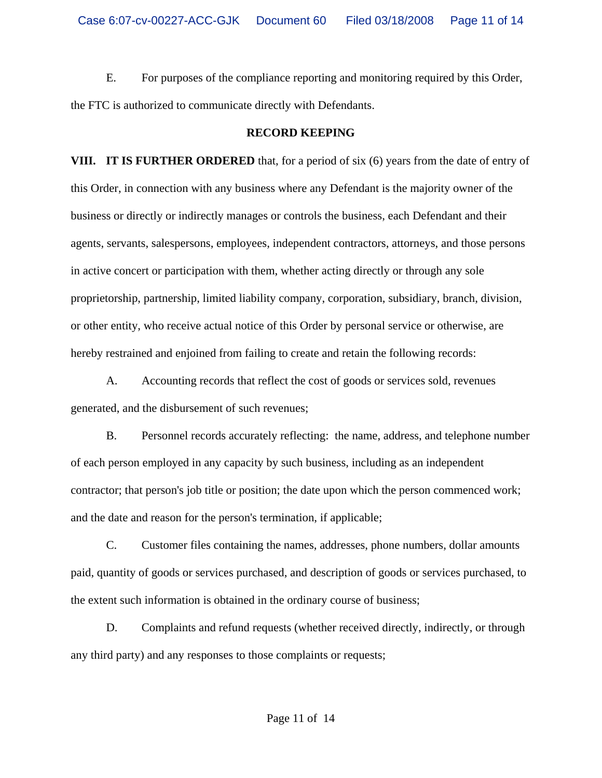E. For purposes of the compliance reporting and monitoring required by this Order, the FTC is authorized to communicate directly with Defendants.

#### **RECORD KEEPING**

**VIII. IT IS FURTHER ORDERED** that, for a period of six (6) years from the date of entry of this Order, in connection with any business where any Defendant is the majority owner of the business or directly or indirectly manages or controls the business, each Defendant and their agents, servants, salespersons, employees, independent contractors, attorneys, and those persons in active concert or participation with them, whether acting directly or through any sole proprietorship, partnership, limited liability company, corporation, subsidiary, branch, division, or other entity, who receive actual notice of this Order by personal service or otherwise, are hereby restrained and enjoined from failing to create and retain the following records:

A. Accounting records that reflect the cost of goods or services sold, revenues generated, and the disbursement of such revenues;

B. Personnel records accurately reflecting: the name, address, and telephone number of each person employed in any capacity by such business, including as an independent contractor; that person's job title or position; the date upon which the person commenced work; and the date and reason for the person's termination, if applicable;

C. Customer files containing the names, addresses, phone numbers, dollar amounts paid, quantity of goods or services purchased, and description of goods or services purchased, to the extent such information is obtained in the ordinary course of business;

D. Complaints and refund requests (whether received directly, indirectly, or through any third party) and any responses to those complaints or requests;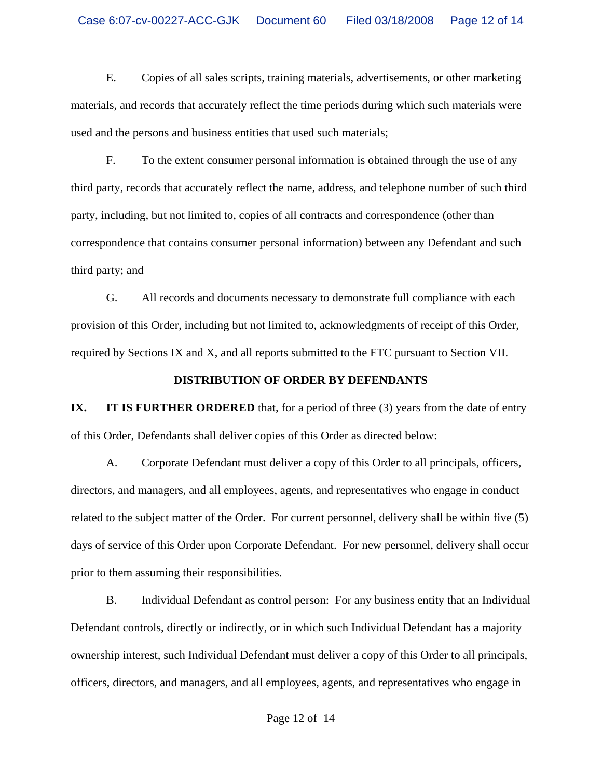E. Copies of all sales scripts, training materials, advertisements, or other marketing materials, and records that accurately reflect the time periods during which such materials were used and the persons and business entities that used such materials;

F. To the extent consumer personal information is obtained through the use of any third party, records that accurately reflect the name, address, and telephone number of such third party, including, but not limited to, copies of all contracts and correspondence (other than correspondence that contains consumer personal information) between any Defendant and such third party; and

G. All records and documents necessary to demonstrate full compliance with each provision of this Order, including but not limited to, acknowledgments of receipt of this Order, required by Sections IX and X, and all reports submitted to the FTC pursuant to Section VII.

#### **DISTRIBUTION OF ORDER BY DEFENDANTS**

**IX.** IT IS FURTHER ORDERED that, for a period of three (3) years from the date of entry of this Order, Defendants shall deliver copies of this Order as directed below:

A. Corporate Defendant must deliver a copy of this Order to all principals, officers, directors, and managers, and all employees, agents, and representatives who engage in conduct related to the subject matter of the Order. For current personnel, delivery shall be within five (5) days of service of this Order upon Corporate Defendant. For new personnel, delivery shall occur prior to them assuming their responsibilities.

B. Individual Defendant as control person: For any business entity that an Individual Defendant controls, directly or indirectly, or in which such Individual Defendant has a majority ownership interest, such Individual Defendant must deliver a copy of this Order to all principals, officers, directors, and managers, and all employees, agents, and representatives who engage in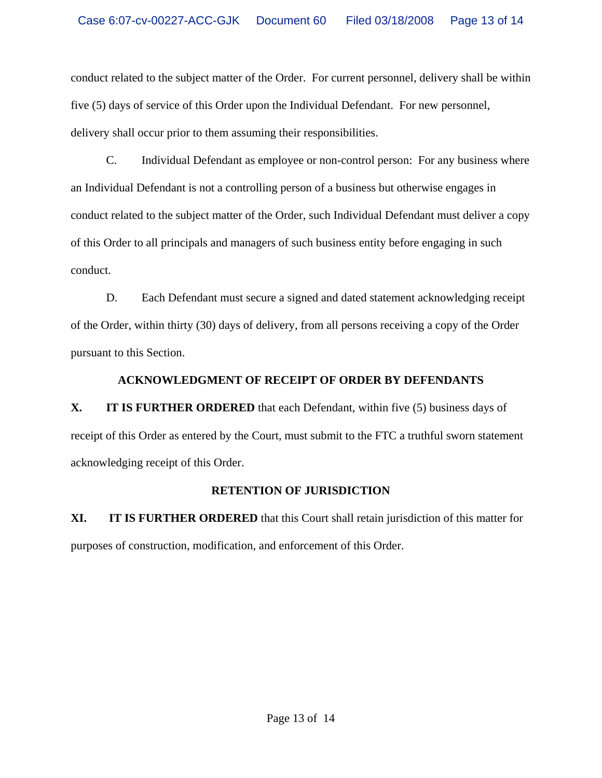conduct related to the subject matter of the Order. For current personnel, delivery shall be within five (5) days of service of this Order upon the Individual Defendant. For new personnel, delivery shall occur prior to them assuming their responsibilities.

C. Individual Defendant as employee or non-control person: For any business where an Individual Defendant is not a controlling person of a business but otherwise engages in conduct related to the subject matter of the Order, such Individual Defendant must deliver a copy of this Order to all principals and managers of such business entity before engaging in such conduct.

D. Each Defendant must secure a signed and dated statement acknowledging receipt of the Order, within thirty (30) days of delivery, from all persons receiving a copy of the Order pursuant to this Section.

# **ACKNOWLEDGMENT OF RECEIPT OF ORDER BY DEFENDANTS**

**X. IT IS FURTHER ORDERED** that each Defendant, within five (5) business days of receipt of this Order as entered by the Court, must submit to the FTC a truthful sworn statement acknowledging receipt of this Order.

# **RETENTION OF JURISDICTION**

**XI. IT IS FURTHER ORDERED** that this Court shall retain jurisdiction of this matter for purposes of construction, modification, and enforcement of this Order.